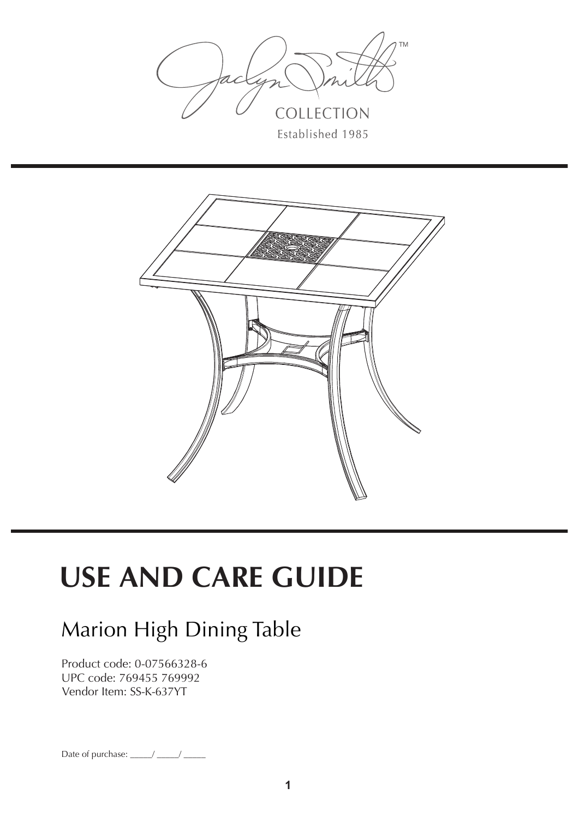



# **USE AND CARE GUIDE**

## Marion High Dining Table

Product code: 0-07566328-6 UPC code: 769455 769992 Vendor Item: SS-K-637YT

Date of purchase:  $\frac{\sqrt{2}}{2}$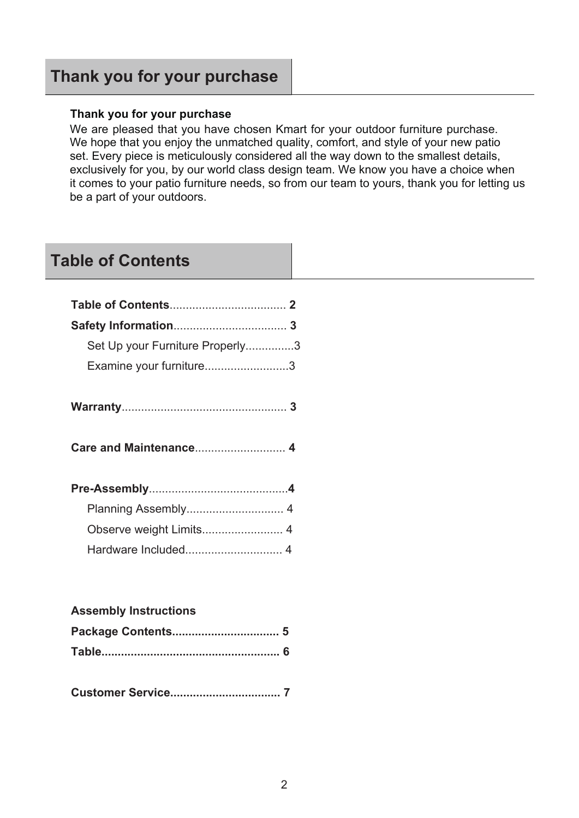## **Thank you for your purchase**

#### **Thank you for your purchase**

We are pleased that you have chosen Kmart for your outdoor furniture purchase. We hope that you enjoy the unmatched quality, comfort, and style of your new patio set. Every piece is meticulously considered all the way down to the smallest details, exclusively for you, by our world class design team. We know you have a choice when it comes to your patio furniture needs, so from our team to yours, thank you for letting us be a part of your outdoors.

### **Table of Contents**

| Set Up your Furniture Properly3 |  |
|---------------------------------|--|
| Examine your furniture3         |  |
|                                 |  |
|                                 |  |
|                                 |  |
| Care and Maintenance 4          |  |
|                                 |  |
|                                 |  |
| Planning Assembly 4             |  |
|                                 |  |
| Hardware Included 4             |  |
|                                 |  |

#### **Assembly Instructions**

|--|--|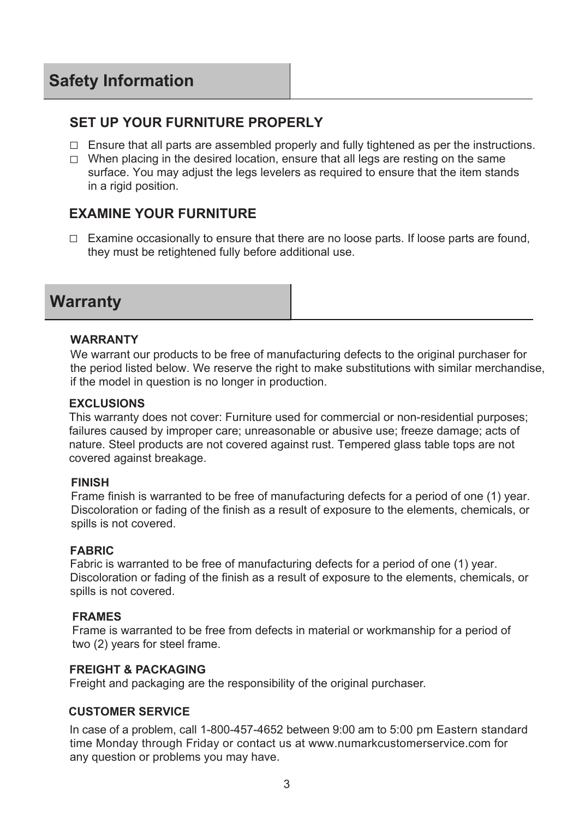#### **SET UP YOUR FURNITURE PROPERLY**

- $\Box$  Ensure that all parts are assembled properly and fully tightened as per the instructions.
- $\Box$  When placing in the desired location, ensure that all legs are resting on the same surface. You may adjust the legs levelers as required to ensure that the item stands in a rigid position.

#### **EXAMINE YOUR FURNITURE**

 $\Box$  Examine occasionally to ensure that there are no loose parts. If loose parts are found, they must be retightened fully before additional use.

### **Warranty**

#### **WARRANTY**

We warrant our products to be free of manufacturing defects to the original purchaser for the period listed below. We reserve the right to make substitutions with similar merchandise, if the model in question is no longer in production.

#### **EXCLUSIONS**

This warranty does not cover: Furniture used for commercial or non-residential purposes; failures caused by improper care; unreasonable or abusive use; freeze damage; acts of nature. Steel products are not covered against rust. Tempered glass table tops are not covered against breakage.

#### **FINISH**

Frame finish is warranted to be free of manufacturing defects for a period of one (1) year. Discoloration or fading of the finish as a result of exposure to the elements, chemicals, or spills is not covered.

#### **FABRIC**

Fabric is warranted to be free of manufacturing defects for a period of one (1) year. Discoloration or fading of the finish as a result of exposure to the elements, chemicals, or spills is not covered.

#### **FRAMES**

Frame is warranted to be free from defects in material or workmanship for a period of two (2) years for steel frame.

#### **FREIGHT & PACKAGING**

Freight and packaging are the responsibility of the original purchaser.

#### **CUSTOMER SERVICE**

 In case of a problem, call 1-800-457-4652 between 9:00 am to 5:00 pm Eastern standard time Monday through Friday or contact us at www.numarkcustomerservice.com for any question or problems you may have.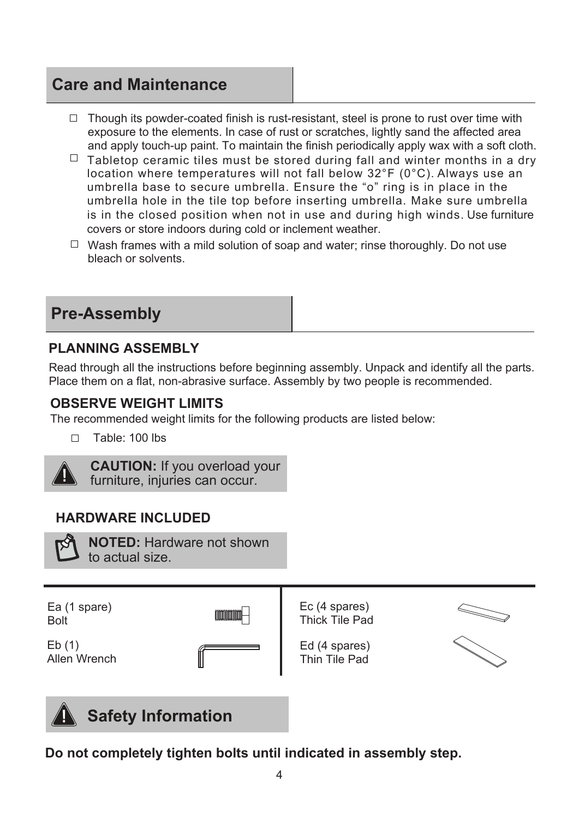## **Care and Maintenance**

- $\Box$  Though its powder-coated finish is rust-resistant, steel is prone to rust over time with exposure to the elements. In case of rust or scratches, lightly sand the affected area and apply touch-up paint. To maintain the finish periodically apply wax with a soft cloth.
- $\Box$  Tabletop ceramic tiles must be stored during fall and winter months in a dry location where temperatures will not fall below 32°F (0°C). Always use an umbrella base to secure umbrella. Ensure the "o" ring is in place in the umbrella hole in the tile top before inserting umbrella. Make sure umbrella is in the closed position when not in use and during high winds. Use furniture covers or store indoors during cold or inclement weather.
- $\Box$  Wash frames with a mild solution of soap and water; rinse thoroughly. Do not use bleach or solvents.

# **Pre-Assembly**

#### **PLANNING ASSEMBLY**

Read through all the instructions before beginning assembly. Unpack and identify all the parts. Place them on a flat, non-abrasive surface. Assembly by two people is recommended.

#### **OBSERVE WEIGHT LIMITS**

The recommended weight limits for the following products are listed below:

 $\Box$ Table: 100 lbs



**CAUTION:** If you overload your furniture, injuries can occur.

#### **HARDWARE INCLUDED**



**NOTED:** Hardware not shown to actual size.



## **A** Safety Information

**Do not completely tighten bolts until indicated in assembly step.**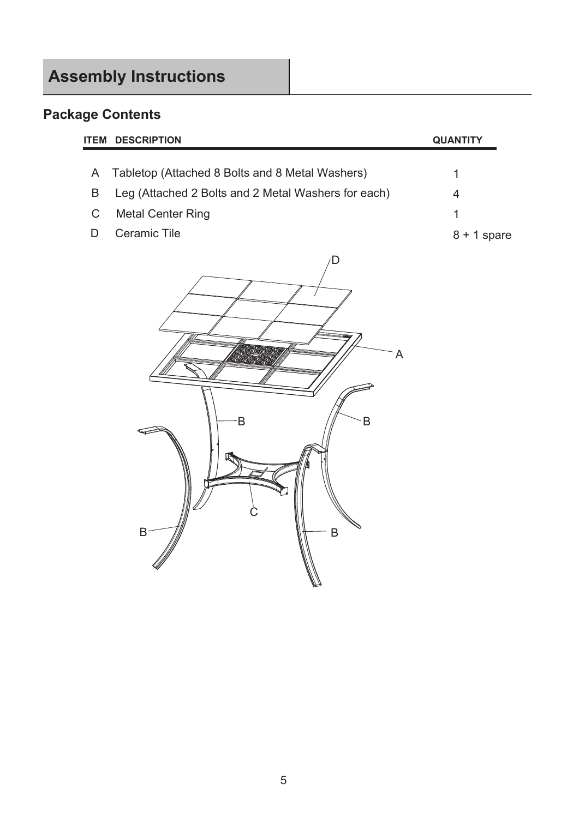## **Assembly Instructions**

## **Package Contents**

|   | <b>ITEM DESCRIPTION</b>                             | <b>QUANTITY</b> |
|---|-----------------------------------------------------|-----------------|
|   |                                                     |                 |
| A | Tabletop (Attached 8 Bolts and 8 Metal Washers)     |                 |
| B | Leg (Attached 2 Bolts and 2 Metal Washers for each) | 4               |
| С | <b>Metal Center Ring</b>                            | 1               |
| D | <b>Ceramic Tile</b>                                 | 8<br>+ 1 spare  |
|   |                                                     |                 |

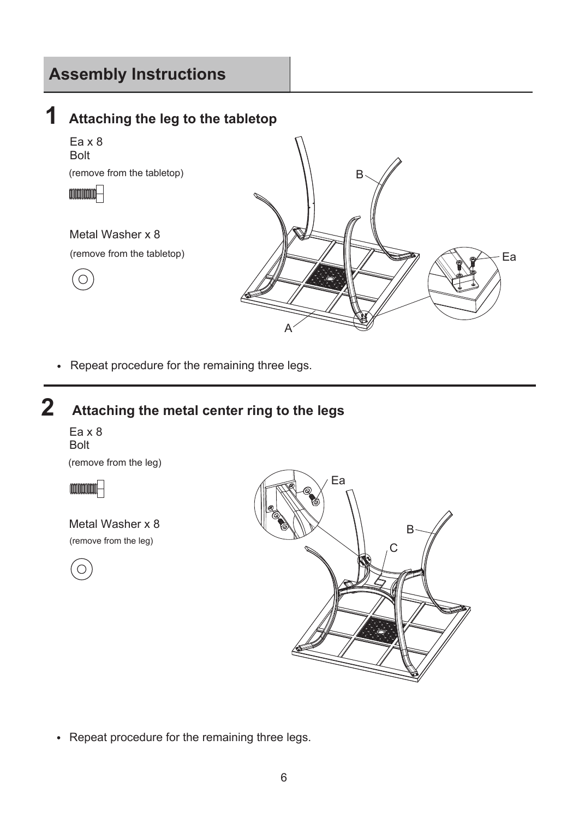## **Assembly Instructions**

## **1 Attaching the leg to the tabletop**

Ea x 8 Bolt (remove from the tabletop) **COODINATIONAL** 

Metal Washer x 8 (remove from the tabletop)



• Repeat procedure for the remaining three legs.

#### **2 Attaching the metal center ring to the legs**

Ea x 8 Bolt (remove from the leg)



 $\bigcirc$ 

Metal Washer x 8 (remove from the leg)





Repeat procedure for the remaining three legs.